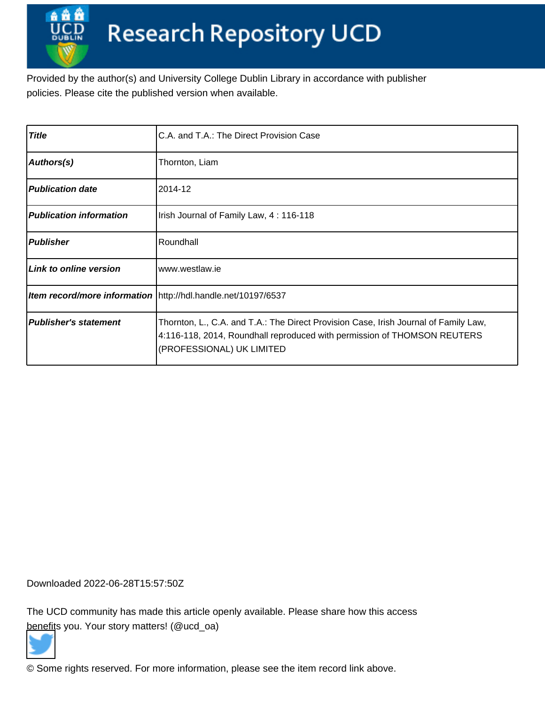Provided by the author(s) and University College Dublin Library in accordance with publisher policies. Please cite the published version when available.

| <b>Title</b>                   | C.A. and T.A.: The Direct Provision Case                                                                                                                                                      |
|--------------------------------|-----------------------------------------------------------------------------------------------------------------------------------------------------------------------------------------------|
| Authors(s)                     | Thornton, Liam                                                                                                                                                                                |
| <b>Publication date</b>        | 2014-12                                                                                                                                                                                       |
| <b>Publication information</b> | Irish Journal of Family Law, 4: 116-118                                                                                                                                                       |
| <b>Publisher</b>               | Roundhall                                                                                                                                                                                     |
| Link to online version         | www.westlaw.ie                                                                                                                                                                                |
|                                | Item record/more information   http://hdl.handle.net/10197/6537                                                                                                                               |
| <b>Publisher's statement</b>   | Thornton, L., C.A. and T.A.: The Direct Provision Case, Irish Journal of Family Law,<br>4:116-118, 2014, Roundhall reproduced with permission of THOMSON REUTERS<br>(PROFESSIONAL) UK LIMITED |

Downloaded 2022-06-28T15:57:50Z

The UCD community has made this article openly available. Please share how this access [benefit](https://twitter.com/intent/tweet?via=ucd_oa&text=C.A.+and+T.A.%3A+The+Direct+Provision+Case&url=http%3A%2F%2Fhdl.handle.net%2F10197%2F6537)s you. Your story matters! (@ucd\_oa)



© Some rights reserved. For more information, please see the item record link above.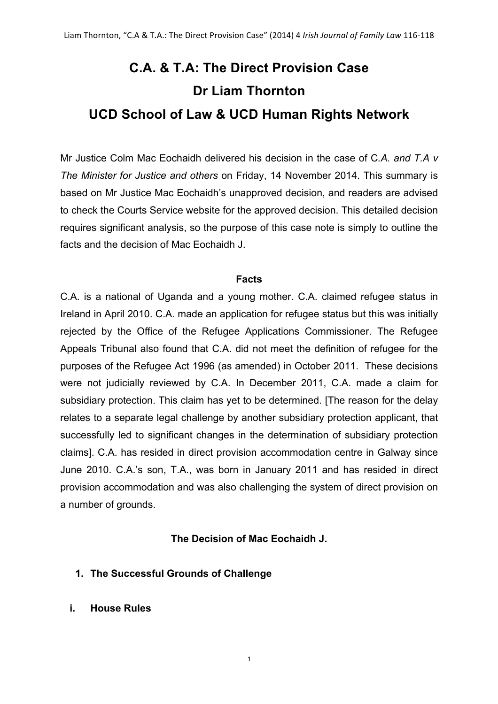# **C.A. & T.A: The Direct Provision Case Dr Liam Thornton UCD School of Law & UCD Human Rights Network**

Mr Justice Colm Mac Eochaidh delivered his decision in the case of C*.A. and T.A v The Minister for Justice and others* on Friday, 14 November 2014. This summary is based on Mr Justice Mac Eochaidh's unapproved decision, and readers are advised to check the Courts Service website for the approved decision. This detailed decision requires significant analysis, so the purpose of this case note is simply to outline the facts and the decision of Mac Eochaidh J.

#### **Facts**

C.A. is a national of Uganda and a young mother. C.A. claimed refugee status in Ireland in April 2010. C.A. made an application for refugee status but this was initially rejected by the Office of the Refugee Applications Commissioner. The Refugee Appeals Tribunal also found that C.A. did not meet the definition of refugee for the purposes of the Refugee Act 1996 (as amended) in October 2011. These decisions were not judicially reviewed by C.A. In December 2011, C.A. made a claim for subsidiary protection. This claim has yet to be determined. [The reason for the delay relates to a separate legal challenge by another subsidiary protection applicant, that successfully led to significant changes in the determination of subsidiary protection claims]. C.A. has resided in direct provision accommodation centre in Galway since June 2010. C.A.'s son, T.A., was born in January 2011 and has resided in direct provision accommodation and was also challenging the system of direct provision on a number of grounds.

## **The Decision of Mac Eochaidh J.**

- **1. The Successful Grounds of Challenge**
- **i. House Rules**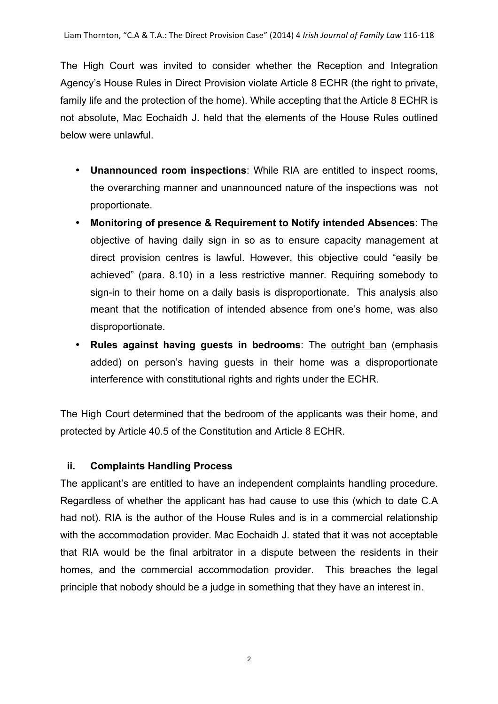The High Court was invited to consider whether the Reception and Integration Agency's House Rules in Direct Provision violate Article 8 ECHR (the right to private, family life and the protection of the home). While accepting that the Article 8 ECHR is not absolute, Mac Eochaidh J. held that the elements of the House Rules outlined below were unlawful.

- **Unannounced room inspections**: While RIA are entitled to inspect rooms, the overarching manner and unannounced nature of the inspections was not proportionate.
- **Monitoring of presence & Requirement to Notify intended Absences**: The objective of having daily sign in so as to ensure capacity management at direct provision centres is lawful. However, this objective could "easily be achieved" (para. 8.10) in a less restrictive manner. Requiring somebody to sign-in to their home on a daily basis is disproportionate. This analysis also meant that the notification of intended absence from one's home, was also disproportionate.
- **Rules against having guests in bedrooms**: The outright ban (emphasis added) on person's having guests in their home was a disproportionate interference with constitutional rights and rights under the ECHR.

The High Court determined that the bedroom of the applicants was their home, and protected by Article 40.5 of the Constitution and Article 8 ECHR.

## **ii. Complaints Handling Process**

The applicant's are entitled to have an independent complaints handling procedure. Regardless of whether the applicant has had cause to use this (which to date C.A had not). RIA is the author of the House Rules and is in a commercial relationship with the accommodation provider. Mac Eochaidh J. stated that it was not acceptable that RIA would be the final arbitrator in a dispute between the residents in their homes, and the commercial accommodation provider. This breaches the legal principle that nobody should be a judge in something that they have an interest in.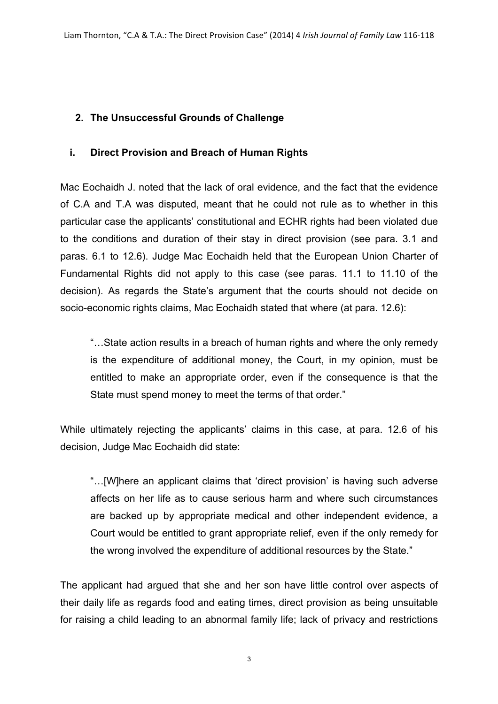## **2. The Unsuccessful Grounds of Challenge**

## **i. Direct Provision and Breach of Human Rights**

Mac Eochaidh J. noted that the lack of oral evidence, and the fact that the evidence of C.A and T.A was disputed, meant that he could not rule as to whether in this particular case the applicants' constitutional and ECHR rights had been violated due to the conditions and duration of their stay in direct provision (see para. 3.1 and paras. 6.1 to 12.6). Judge Mac Eochaidh held that the European Union Charter of Fundamental Rights did not apply to this case (see paras. 11.1 to 11.10 of the decision). As regards the State's argument that the courts should not decide on socio-economic rights claims, Mac Eochaidh stated that where (at para. 12.6):

"…State action results in a breach of human rights and where the only remedy is the expenditure of additional money, the Court, in my opinion, must be entitled to make an appropriate order, even if the consequence is that the State must spend money to meet the terms of that order."

While ultimately rejecting the applicants' claims in this case, at para. 12.6 of his decision, Judge Mac Eochaidh did state:

"…[W]here an applicant claims that 'direct provision' is having such adverse affects on her life as to cause serious harm and where such circumstances are backed up by appropriate medical and other independent evidence, a Court would be entitled to grant appropriate relief, even if the only remedy for the wrong involved the expenditure of additional resources by the State."

The applicant had argued that she and her son have little control over aspects of their daily life as regards food and eating times, direct provision as being unsuitable for raising a child leading to an abnormal family life; lack of privacy and restrictions

3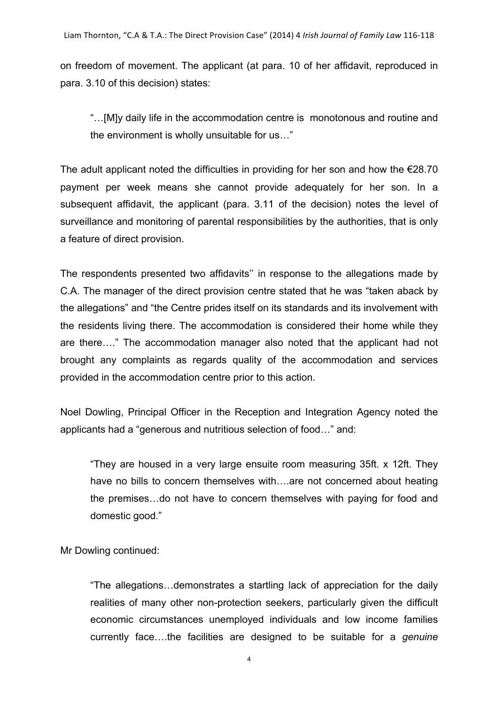on freedom of movement. The applicant (at para. 10 of her affidavit, reproduced in para. 3.10 of this decision) states:

"…[M]y daily life in the accommodation centre is monotonous and routine and the environment is wholly unsuitable for us…"

The adult applicant noted the difficulties in providing for her son and how the  $€28.70$ payment per week means she cannot provide adequately for her son. In a subsequent affidavit, the applicant (para. 3.11 of the decision) notes the level of surveillance and monitoring of parental responsibilities by the authorities, that is only a feature of direct provision.

The respondents presented two affidavits'' in response to the allegations made by C.A. The manager of the direct provision centre stated that he was "taken aback by the allegations" and "the Centre prides itself on its standards and its involvement with the residents living there. The accommodation is considered their home while they are there…." The accommodation manager also noted that the applicant had not brought any complaints as regards quality of the accommodation and services provided in the accommodation centre prior to this action.

Noel Dowling, Principal Officer in the Reception and Integration Agency noted the applicants had a "generous and nutritious selection of food…" and:

"They are housed in a very large ensuite room measuring 35ft. x 12ft. They have no bills to concern themselves with….are not concerned about heating the premises…do not have to concern themselves with paying for food and domestic good."

Mr Dowling continued:

"The allegations…demonstrates a startling lack of appreciation for the daily realities of many other non-protection seekers, particularly given the difficult economic circumstances unemployed individuals and low income families currently face….the facilities are designed to be suitable for a *genuine*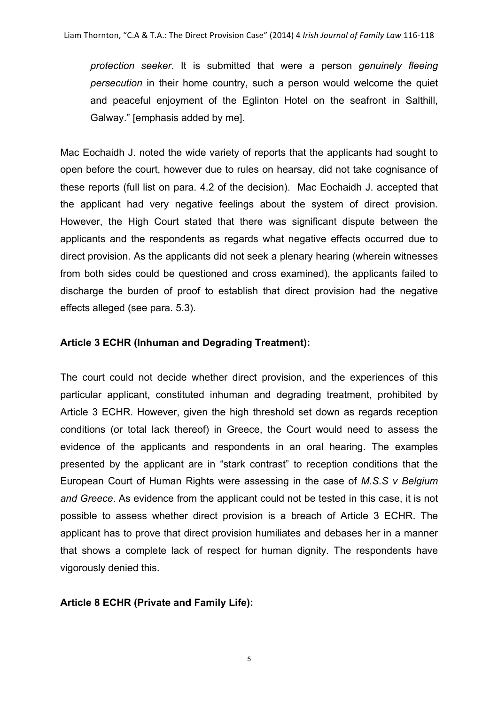*protection seeker*. It is submitted that were a person *genuinely fleeing persecution* in their home country, such a person would welcome the quiet and peaceful enjoyment of the Eglinton Hotel on the seafront in Salthill, Galway." [emphasis added by me].

Mac Eochaidh J. noted the wide variety of reports that the applicants had sought to open before the court, however due to rules on hearsay, did not take cognisance of these reports (full list on para. 4.2 of the decision). Mac Eochaidh J. accepted that the applicant had very negative feelings about the system of direct provision. However, the High Court stated that there was significant dispute between the applicants and the respondents as regards what negative effects occurred due to direct provision. As the applicants did not seek a plenary hearing (wherein witnesses from both sides could be questioned and cross examined), the applicants failed to discharge the burden of proof to establish that direct provision had the negative effects alleged (see para. 5.3).

#### **Article 3 ECHR (Inhuman and Degrading Treatment):**

The court could not decide whether direct provision, and the experiences of this particular applicant, constituted inhuman and degrading treatment, prohibited by Article 3 ECHR. However, given the high threshold set down as regards reception conditions (or total lack thereof) in Greece, the Court would need to assess the evidence of the applicants and respondents in an oral hearing. The examples presented by the applicant are in "stark contrast" to reception conditions that the European Court of Human Rights were assessing in the case of *M.S.S v Belgium and Greece*. As evidence from the applicant could not be tested in this case, it is not possible to assess whether direct provision is a breach of Article 3 ECHR. The applicant has to prove that direct provision humiliates and debases her in a manner that shows a complete lack of respect for human dignity. The respondents have vigorously denied this.

#### **Article 8 ECHR (Private and Family Life):**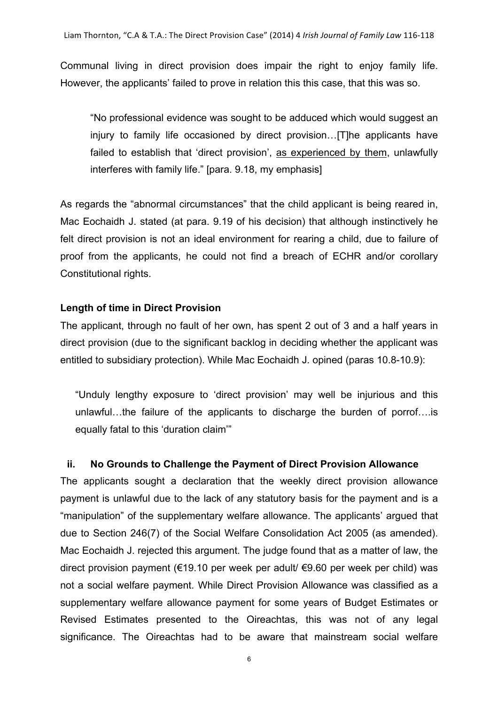Communal living in direct provision does impair the right to enjoy family life. However, the applicants' failed to prove in relation this this case, that this was so.

"No professional evidence was sought to be adduced which would suggest an injury to family life occasioned by direct provision…[T]he applicants have failed to establish that 'direct provision', as experienced by them, unlawfully interferes with family life." [para. 9.18, my emphasis]

As regards the "abnormal circumstances" that the child applicant is being reared in, Mac Eochaidh J. stated (at para. 9.19 of his decision) that although instinctively he felt direct provision is not an ideal environment for rearing a child, due to failure of proof from the applicants, he could not find a breach of ECHR and/or corollary Constitutional rights.

#### **Length of time in Direct Provision**

The applicant, through no fault of her own, has spent 2 out of 3 and a half years in direct provision (due to the significant backlog in deciding whether the applicant was entitled to subsidiary protection). While Mac Eochaidh J. opined (paras 10.8-10.9):

"Unduly lengthy exposure to 'direct provision' may well be injurious and this unlawful…the failure of the applicants to discharge the burden of porrof….is equally fatal to this 'duration claim'"

#### **ii. No Grounds to Challenge the Payment of Direct Provision Allowance**

The applicants sought a declaration that the weekly direct provision allowance payment is unlawful due to the lack of any statutory basis for the payment and is a "manipulation" of the supplementary welfare allowance. The applicants' argued that due to Section 246(7) of the Social Welfare Consolidation Act 2005 (as amended). Mac Eochaidh J. rejected this argument. The judge found that as a matter of law, the direct provision payment (€19.10 per week per adult/ €9.60 per week per child) was not a social welfare payment. While Direct Provision Allowance was classified as a supplementary welfare allowance payment for some years of Budget Estimates or Revised Estimates presented to the Oireachtas, this was not of any legal significance. The Oireachtas had to be aware that mainstream social welfare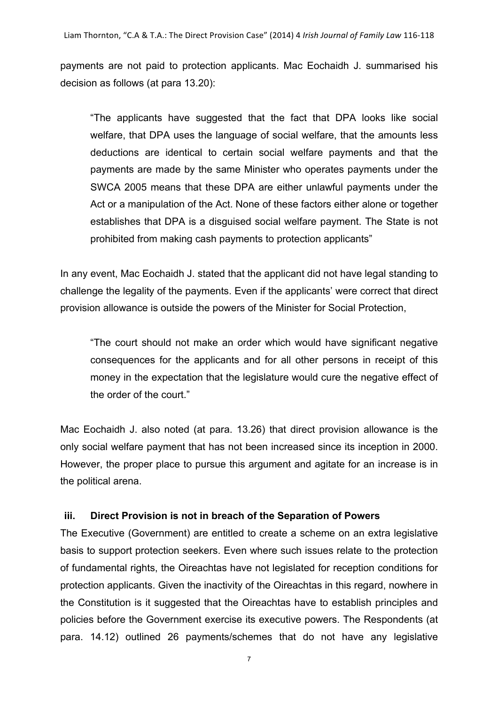payments are not paid to protection applicants. Mac Eochaidh J. summarised his decision as follows (at para 13.20):

"The applicants have suggested that the fact that DPA looks like social welfare, that DPA uses the language of social welfare, that the amounts less deductions are identical to certain social welfare payments and that the payments are made by the same Minister who operates payments under the SWCA 2005 means that these DPA are either unlawful payments under the Act or a manipulation of the Act. None of these factors either alone or together establishes that DPA is a disguised social welfare payment. The State is not prohibited from making cash payments to protection applicants"

In any event, Mac Eochaidh J. stated that the applicant did not have legal standing to challenge the legality of the payments. Even if the applicants' were correct that direct provision allowance is outside the powers of the Minister for Social Protection,

"The court should not make an order which would have significant negative consequences for the applicants and for all other persons in receipt of this money in the expectation that the legislature would cure the negative effect of the order of the court."

Mac Eochaidh J. also noted (at para. 13.26) that direct provision allowance is the only social welfare payment that has not been increased since its inception in 2000. However, the proper place to pursue this argument and agitate for an increase is in the political arena.

## **iii. Direct Provision is not in breach of the Separation of Powers**

The Executive (Government) are entitled to create a scheme on an extra legislative basis to support protection seekers. Even where such issues relate to the protection of fundamental rights, the Oireachtas have not legislated for reception conditions for protection applicants. Given the inactivity of the Oireachtas in this regard, nowhere in the Constitution is it suggested that the Oireachtas have to establish principles and policies before the Government exercise its executive powers. The Respondents (at para. 14.12) outlined 26 payments/schemes that do not have any legislative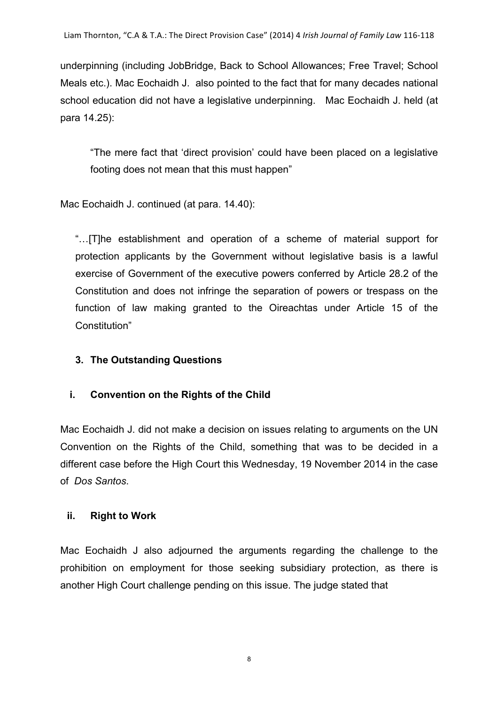underpinning (including JobBridge, Back to School Allowances; Free Travel; School Meals etc.). Mac Eochaidh J. also pointed to the fact that for many decades national school education did not have a legislative underpinning. Mac Eochaidh J. held (at para 14.25):

"The mere fact that 'direct provision' could have been placed on a legislative footing does not mean that this must happen"

Mac Eochaidh J. continued (at para. 14.40):

"…[T]he establishment and operation of a scheme of material support for protection applicants by the Government without legislative basis is a lawful exercise of Government of the executive powers conferred by Article 28.2 of the Constitution and does not infringe the separation of powers or trespass on the function of law making granted to the Oireachtas under Article 15 of the Constitution"

## **3. The Outstanding Questions**

## **i. Convention on the Rights of the Child**

Mac Eochaidh J. did not make a decision on issues relating to arguments on the UN Convention on the Rights of the Child, something that was to be decided in a different case before the High Court this Wednesday, 19 November 2014 in the case of *Dos Santos*.

## **ii. Right to Work**

Mac Eochaidh J also adjourned the arguments regarding the challenge to the prohibition on employment for those seeking subsidiary protection, as there is another High Court challenge pending on this issue. The judge stated that

8